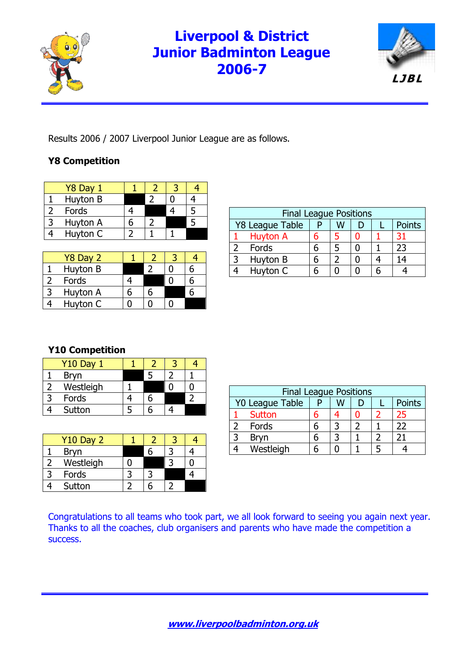

# **Liverpool & District Junior Badminton League 2006-7**



Results 2006 / 2007 Liverpool Junior League are as follows.

### **Y8 Competition**

| Y8 Day 1 |  |  |
|----------|--|--|
| Huyton B |  |  |
| Fords    |  |  |
| Huyton A |  |  |
| Huyton C |  |  |

| Y8 Day 2 |   |  |  |
|----------|---|--|--|
| Huyton B |   |  |  |
| Fords    |   |  |  |
| Huyton A | հ |  |  |
| Huyton C |   |  |  |

| <b>Final League Positions</b> |                 |  |   |   |  |               |  |  |
|-------------------------------|-----------------|--|---|---|--|---------------|--|--|
| <b>Y8 League Table</b><br>W   |                 |  |   |   |  | <b>Points</b> |  |  |
|                               | <b>Huyton A</b> |  |   | ⋂ |  | 31            |  |  |
|                               | Fords           |  | 5 |   |  | 23            |  |  |
|                               | Huyton B        |  |   |   |  |               |  |  |
|                               | Huvton C        |  |   |   |  |               |  |  |

#### **Y10 Competition**

| <b>Y10 Day 1</b> |  |  |
|------------------|--|--|
| Bryn             |  |  |
| Westleigh        |  |  |
| Fords            |  |  |
| Sutton           |  |  |

| <b>Y10 Day 2</b> |  |  |
|------------------|--|--|
| <b>Bryn</b>      |  |  |
| Westleigh        |  |  |
| Fords            |  |  |
| Sutton           |  |  |

| <b>Final League Positions</b>         |               |  |  |  |  |    |  |  |
|---------------------------------------|---------------|--|--|--|--|----|--|--|
| Y0 League Table<br><b>Points</b><br>w |               |  |  |  |  |    |  |  |
|                                       | <b>Sutton</b> |  |  |  |  | 25 |  |  |
|                                       | Fords         |  |  |  |  | 22 |  |  |
|                                       | <b>Bryn</b>   |  |  |  |  |    |  |  |
|                                       | Westleigh     |  |  |  |  |    |  |  |

Congratulations to all teams who took part, we all look forward to seeing you again next year. Thanks to all the coaches, club organisers and parents who have made the competition a success.